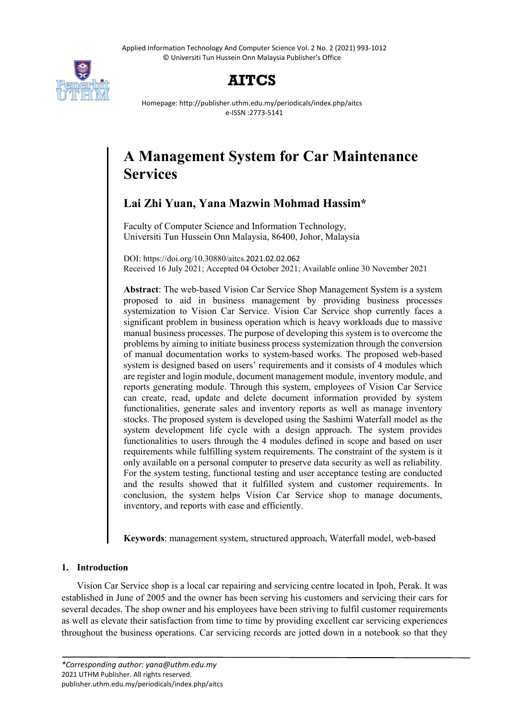Applied Information Technology And Computer Science Vol. 2 No. 2 (2021) 993-1012 © Universiti Tun Hussein Onn Malaysia Publisher's Office



## **AITCS**

Homepage: http://publisher.uthm.edu.my/periodicals/index.php/aitcs e-ISSN :2773-5141

# **A Management System for Car Maintenance Services**

## **Lai Zhi Yuan, Yana Mazwin Mohmad Hassim\***

Faculty of Computer Science and Information Technology, Universiti Tun Hussein Onn Malaysia, 86400, Johor, Malaysia

DOI: https://doi.org/10.30880/aitcs.2021.02.02.062 Received 16 July 2021; Accepted 04 October 2021; Available online 30 November 2021

**Abstract**: The web-based Vision Car Service Shop Management System is a system proposed to aid in business management by providing business processes systemization to Vision Car Service. Vision Car Service shop currently faces a significant problem in business operation which is heavy workloads due to massive manual business processes. The purpose of developing this system is to overcome the problems by aiming to initiate business process systemization through the conversion of manual documentation works to system-based works. The proposed web-based system is designed based on users' requirements and it consists of 4 modules which are register and login module, document management module, inventory module, and reports generating module. Through this system, employees of Vision Car Service can create, read, update and delete document information provided by system functionalities, generate sales and inventory reports as well as manage inventory stocks. The proposed system is developed using the Sashimi Waterfall model as the system development life cycle with a design approach. The system provides functionalities to users through the 4 modules defined in scope and based on user requirements while fulfilling system requirements. The constraint of the system is it only available on a personal computer to preserve data security as well as reliability. For the system testing, functional testing and user acceptance testing are conducted and the results showed that it fulfilled system and customer requirements. In conclusion, the system helps Vision Car Service shop to manage documents, inventory, and reports with ease and efficiently.

**Keywords**: management system, structured approach, Waterfall model, web-based

## **1. Introduction**

Vision Car Service shop is a local car repairing and servicing centre located in Ipoh, Perak. It was established in June of 2005 and the owner has been serving his customers and servicing their cars for several decades. The shop owner and his employees have been striving to fulfil customer requirements as well as elevate their satisfaction from time to time by providing excellent car servicing experiences throughout the business operations. Car servicing records are jotted down in a notebook so that they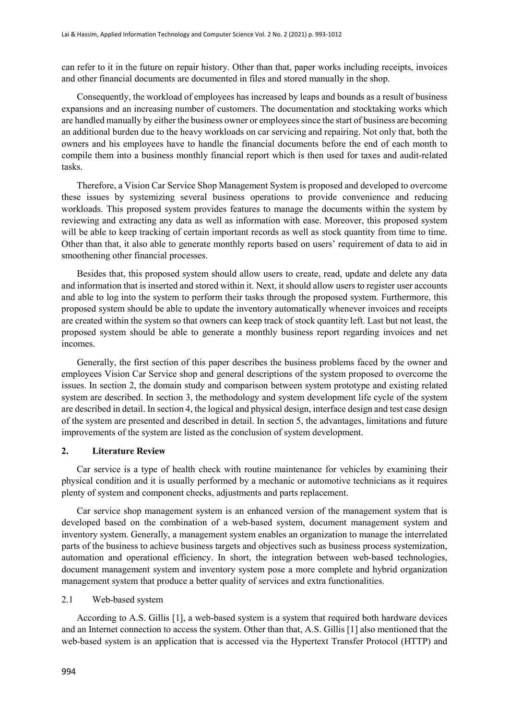can refer to it in the future on repair history. Other than that, paper works including receipts, invoices and other financial documents are documented in files and stored manually in the shop.

Consequently, the workload of employees has increased by leaps and bounds as a result of business expansions and an increasing number of customers. The documentation and stocktaking works which are handled manually by either the business owner or employees since the start of business are becoming an additional burden due to the heavy workloads on car servicing and repairing. Not only that, both the owners and his employees have to handle the financial documents before the end of each month to compile them into a business monthly financial report which is then used for taxes and audit-related tasks.

Therefore, a Vision Car Service Shop Management System is proposed and developed to overcome these issues by systemizing several business operations to provide convenience and reducing workloads. This proposed system provides features to manage the documents within the system by reviewing and extracting any data as well as information with ease. Moreover, this proposed system will be able to keep tracking of certain important records as well as stock quantity from time to time. Other than that, it also able to generate monthly reports based on users' requirement of data to aid in smoothening other financial processes.

Besides that, this proposed system should allow users to create, read, update and delete any data and information that is inserted and stored within it. Next, it should allow users to register user accounts and able to log into the system to perform their tasks through the proposed system. Furthermore, this proposed system should be able to update the inventory automatically whenever invoices and receipts are created within the system so that owners can keep track of stock quantity left. Last but not least, the proposed system should be able to generate a monthly business report regarding invoices and net incomes.

Generally, the first section of this paper describes the business problems faced by the owner and employees Vision Car Service shop and general descriptions of the system proposed to overcome the issues. In section 2, the domain study and comparison between system prototype and existing related system are described. In section 3, the methodology and system development life cycle of the system are described in detail. In section 4, the logical and physical design, interface design and test case design of the system are presented and described in detail. In section 5, the advantages, limitations and future improvements of the system are listed as the conclusion of system development.

#### **2. Literature Review**

Car service is a type of health check with routine maintenance for vehicles by examining their physical condition and it is usually performed by a mechanic or automotive technicians as it requires plenty of system and component checks, adjustments and parts replacement.

Car service shop management system is an enhanced version of the management system that is developed based on the combination of a web-based system, document management system and inventory system. Generally, a management system enables an organization to manage the interrelated parts of the business to achieve business targets and objectives such as business process systemization, automation and operational efficiency. In short, the integration between web-based technologies, document management system and inventory system pose a more complete and hybrid organization management system that produce a better quality of services and extra functionalities.

#### 2.1 Web-based system

According to A.S. Gillis [1], a web-based system is a system that required both hardware devices and an Internet connection to access the system. Other than that, A.S. Gillis [1] also mentioned that the web-based system is an application that is accessed via the Hypertext Transfer Protocol (HTTP) and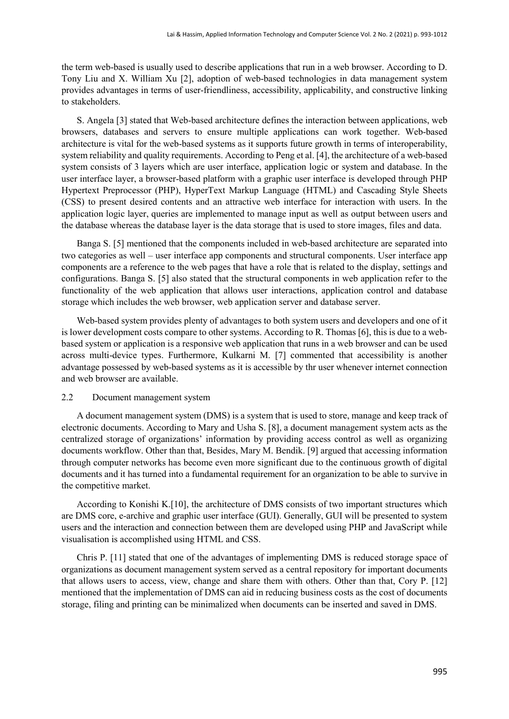the term web-based is usually used to describe applications that run in a web browser. According to D. Tony Liu and X. William Xu [2], adoption of web-based technologies in data management system provides advantages in terms of user-friendliness, accessibility, applicability, and constructive linking to stakeholders.

S. Angela [3] stated that Web-based architecture defines the interaction between applications, web browsers, databases and servers to ensure multiple applications can work together. Web-based architecture is vital for the web-based systems as it supports future growth in terms of interoperability, system reliability and quality requirements. According to Peng et al. [4], the architecture of a web-based system consists of 3 layers which are user interface, application logic or system and database. In the user interface layer, a browser-based platform with a graphic user interface is developed through PHP Hypertext Preprocessor (PHP), HyperText Markup Language (HTML) and Cascading Style Sheets (CSS) to present desired contents and an attractive web interface for interaction with users. In the application logic layer, queries are implemented to manage input as well as output between users and the database whereas the database layer is the data storage that is used to store images, files and data.

Banga S. [5] mentioned that the components included in web-based architecture are separated into two categories as well – user interface app components and structural components. User interface app components are a reference to the web pages that have a role that is related to the display, settings and configurations. Banga S. [5] also stated that the structural components in web application refer to the functionality of the web application that allows user interactions, application control and database storage which includes the web browser, web application server and database server.

Web-based system provides plenty of advantages to both system users and developers and one of it is lower development costs compare to other systems. According to R. Thomas [6], this is due to a webbased system or application is a responsive web application that runs in a web browser and can be used across multi-device types. Furthermore, Kulkarni M. [7] commented that accessibility is another advantage possessed by web-based systems as it is accessible by thr user whenever internet connection and web browser are available.

#### 2.2 Document management system

A document management system (DMS) is a system that is used to store, manage and keep track of electronic documents. According to Mary and Usha S. [8], a document management system acts as the centralized storage of organizations' information by providing access control as well as organizing documents workflow. Other than that, Besides, Mary M. Bendik. [9] argued that accessing information through computer networks has become even more significant due to the continuous growth of digital documents and it has turned into a fundamental requirement for an organization to be able to survive in the competitive market.

According to Konishi K.[10], the architecture of DMS consists of two important structures which are DMS core, e-archive and graphic user interface (GUI). Generally, GUI will be presented to system users and the interaction and connection between them are developed using PHP and JavaScript while visualisation is accomplished using HTML and CSS.

Chris P. [11] stated that one of the advantages of implementing DMS is reduced storage space of organizations as document management system served as a central repository for important documents that allows users to access, view, change and share them with others. Other than that, Cory P. [12] mentioned that the implementation of DMS can aid in reducing business costs as the cost of documents storage, filing and printing can be minimalized when documents can be inserted and saved in DMS.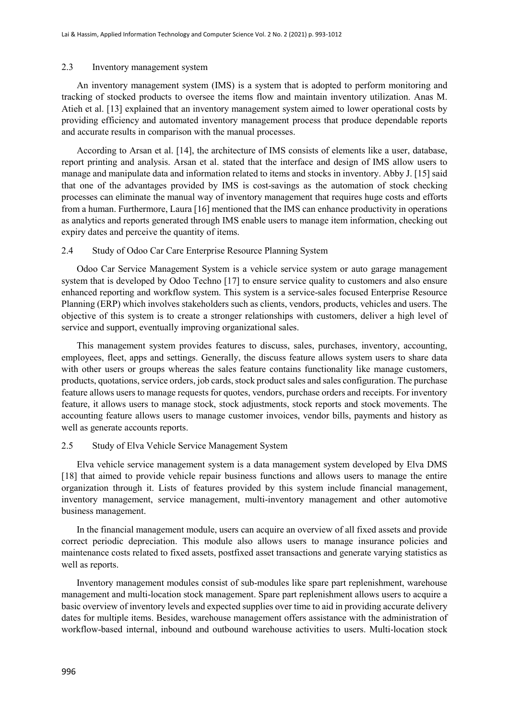#### 2.3 Inventory management system

An inventory management system (IMS) is a system that is adopted to perform monitoring and tracking of stocked products to oversee the items flow and maintain inventory utilization. Anas M. Atieh et al. [13] explained that an inventory management system aimed to lower operational costs by providing efficiency and automated inventory management process that produce dependable reports and accurate results in comparison with the manual processes.

According to Arsan et al. [14], the architecture of IMS consists of elements like a user, database, report printing and analysis. Arsan et al. stated that the interface and design of IMS allow users to manage and manipulate data and information related to items and stocks in inventory. Abby J. [15] said that one of the advantages provided by IMS is cost-savings as the automation of stock checking processes can eliminate the manual way of inventory management that requires huge costs and efforts from a human. Furthermore, Laura [16] mentioned that the IMS can enhance productivity in operations as analytics and reports generated through IMS enable users to manage item information, checking out expiry dates and perceive the quantity of items.

#### 2.4 Study of Odoo Car Care Enterprise Resource Planning System

Odoo Car Service Management System is a vehicle service system or auto garage management system that is developed by Odoo Techno [17] to ensure service quality to customers and also ensure enhanced reporting and workflow system. This system is a service-sales focused Enterprise Resource Planning (ERP) which involves stakeholders such as clients, vendors, products, vehicles and users. The objective of this system is to create a stronger relationships with customers, deliver a high level of service and support, eventually improving organizational sales.

This management system provides features to discuss, sales, purchases, inventory, accounting, employees, fleet, apps and settings. Generally, the discuss feature allows system users to share data with other users or groups whereas the sales feature contains functionality like manage customers, products, quotations, service orders, job cards, stock product sales and sales configuration. The purchase feature allows users to manage requests for quotes, vendors, purchase orders and receipts. For inventory feature, it allows users to manage stock, stock adjustments, stock reports and stock movements. The accounting feature allows users to manage customer invoices, vendor bills, payments and history as well as generate accounts reports.

#### 2.5 Study of Elva Vehicle Service Management System

Elva vehicle service management system is a data management system developed by Elva DMS [18] that aimed to provide vehicle repair business functions and allows users to manage the entire organization through it. Lists of features provided by this system include financial management, inventory management, service management, multi-inventory management and other automotive business management.

In the financial management module, users can acquire an overview of all fixed assets and provide correct periodic depreciation. This module also allows users to manage insurance policies and maintenance costs related to fixed assets, postfixed asset transactions and generate varying statistics as well as reports.

Inventory management modules consist of sub-modules like spare part replenishment, warehouse management and multi-location stock management. Spare part replenishment allows users to acquire a basic overview of inventory levels and expected supplies over time to aid in providing accurate delivery dates for multiple items. Besides, warehouse management offers assistance with the administration of workflow-based internal, inbound and outbound warehouse activities to users. Multi-location stock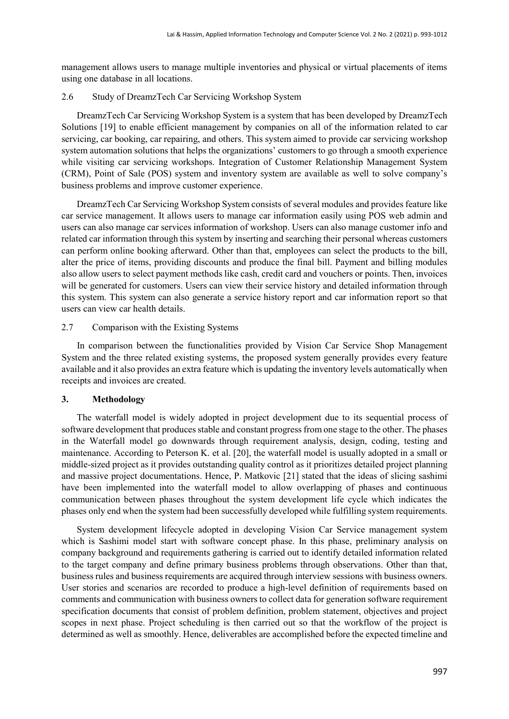management allows users to manage multiple inventories and physical or virtual placements of items using one database in all locations.

#### 2.6 Study of DreamzTech Car Servicing Workshop System

DreamzTech Car Servicing Workshop System is a system that has been developed by DreamzTech Solutions [19] to enable efficient management by companies on all of the information related to car servicing, car booking, car repairing, and others. This system aimed to provide car servicing workshop system automation solutions that helps the organizations' customers to go through a smooth experience while visiting car servicing workshops. Integration of Customer Relationship Management System (CRM), Point of Sale (POS) system and inventory system are available as well to solve company's business problems and improve customer experience.

DreamzTech Car Servicing Workshop System consists of several modules and provides feature like car service management. It allows users to manage car information easily using POS web admin and users can also manage car services information of workshop. Users can also manage customer info and related car information through this system by inserting and searching their personal whereas customers can perform online booking afterward. Other than that, employees can select the products to the bill, alter the price of items, providing discounts and produce the final bill. Payment and billing modules also allow users to select payment methods like cash, credit card and vouchers or points. Then, invoices will be generated for customers. Users can view their service history and detailed information through this system. This system can also generate a service history report and car information report so that users can view car health details.

#### 2.7 Comparison with the Existing Systems

In comparison between the functionalities provided by Vision Car Service Shop Management System and the three related existing systems, the proposed system generally provides every feature available and it also provides an extra feature which is updating the inventory levels automatically when receipts and invoices are created.

#### **3. Methodology**

The waterfall model is widely adopted in project development due to its sequential process of software development that produces stable and constant progress from one stage to the other. The phases in the Waterfall model go downwards through requirement analysis, design, coding, testing and maintenance. According to Peterson K. et al. [20], the waterfall model is usually adopted in a small or middle-sized project as it provides outstanding quality control as it prioritizes detailed project planning and massive project documentations. Hence, P. Matkovic [21] stated that the ideas of slicing sashimi have been implemented into the waterfall model to allow overlapping of phases and continuous communication between phases throughout the system development life cycle which indicates the phases only end when the system had been successfully developed while fulfilling system requirements.

System development lifecycle adopted in developing Vision Car Service management system which is Sashimi model start with software concept phase. In this phase, preliminary analysis on company background and requirements gathering is carried out to identify detailed information related to the target company and define primary business problems through observations. Other than that, business rules and business requirements are acquired through interview sessions with business owners. User stories and scenarios are recorded to produce a high-level definition of requirements based on comments and communication with business owners to collect data for generation software requirement specification documents that consist of problem definition, problem statement, objectives and project scopes in next phase. Project scheduling is then carried out so that the workflow of the project is determined as well as smoothly. Hence, deliverables are accomplished before the expected timeline and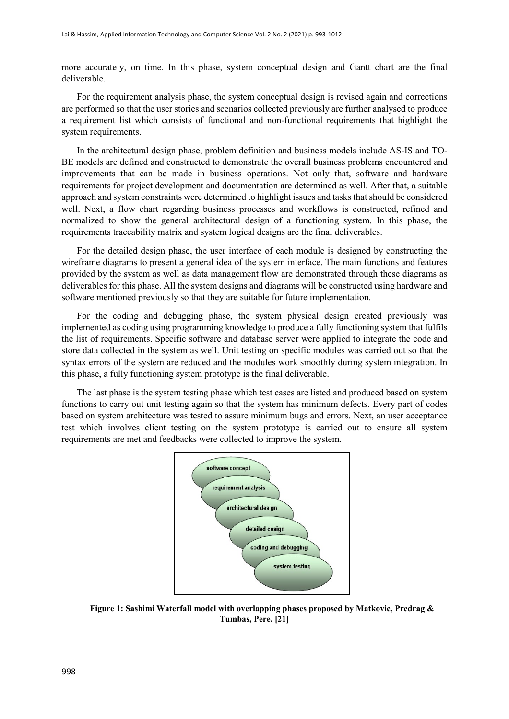more accurately, on time. In this phase, system conceptual design and Gantt chart are the final deliverable.

For the requirement analysis phase, the system conceptual design is revised again and corrections are performed so that the user stories and scenarios collected previously are further analysed to produce a requirement list which consists of functional and non-functional requirements that highlight the system requirements.

In the architectural design phase, problem definition and business models include AS-IS and TO-BE models are defined and constructed to demonstrate the overall business problems encountered and improvements that can be made in business operations. Not only that, software and hardware requirements for project development and documentation are determined as well. After that, a suitable approach and system constraints were determined to highlight issues and tasks that should be considered well. Next, a flow chart regarding business processes and workflows is constructed, refined and normalized to show the general architectural design of a functioning system. In this phase, the requirements traceability matrix and system logical designs are the final deliverables.

For the detailed design phase, the user interface of each module is designed by constructing the wireframe diagrams to present a general idea of the system interface. The main functions and features provided by the system as well as data management flow are demonstrated through these diagrams as deliverables for this phase. All the system designs and diagrams will be constructed using hardware and software mentioned previously so that they are suitable for future implementation.

For the coding and debugging phase, the system physical design created previously was implemented as coding using programming knowledge to produce a fully functioning system that fulfils the list of requirements. Specific software and database server were applied to integrate the code and store data collected in the system as well. Unit testing on specific modules was carried out so that the syntax errors of the system are reduced and the modules work smoothly during system integration. In this phase, a fully functioning system prototype is the final deliverable.

The last phase is the system testing phase which test cases are listed and produced based on system functions to carry out unit testing again so that the system has minimum defects. Every part of codes based on system architecture was tested to assure minimum bugs and errors. Next, an user acceptance test which involves client testing on the system prototype is carried out to ensure all system requirements are met and feedbacks were collected to improve the system.



**Figure 1: Sashimi Waterfall model with overlapping phases proposed by Matkovic, Predrag & Tumbas, Pere. [21]**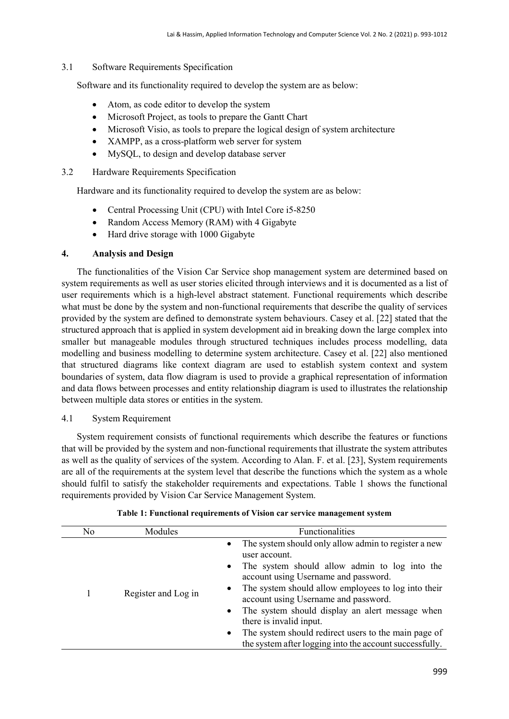#### 3.1 Software Requirements Specification

Software and its functionality required to develop the system are as below:

- Atom, as code editor to develop the system
- Microsoft Project, as tools to prepare the Gantt Chart
- Microsoft Visio, as tools to prepare the logical design of system architecture
- XAMPP, as a cross-platform web server for system
- MySQL, to design and develop database server
- 3.2 Hardware Requirements Specification

Hardware and its functionality required to develop the system are as below:

- Central Processing Unit (CPU) with Intel Core i5-8250
- Random Access Memory (RAM) with 4 Gigabyte
- Hard drive storage with 1000 Gigabyte

#### **4. Analysis and Design**

The functionalities of the Vision Car Service shop management system are determined based on system requirements as well as user stories elicited through interviews and it is documented as a list of user requirements which is a high-level abstract statement. Functional requirements which describe what must be done by the system and non-functional requirements that describe the quality of services provided by the system are defined to demonstrate system behaviours. Casey et al. [22] stated that the structured approach that is applied in system development aid in breaking down the large complex into smaller but manageable modules through structured techniques includes process modelling, data modelling and business modelling to determine system architecture. Casey et al. [22] also mentioned that structured diagrams like context diagram are used to establish system context and system boundaries of system, data flow diagram is used to provide a graphical representation of information and data flows between processes and entity relationship diagram is used to illustrates the relationship between multiple data stores or entities in the system.

#### 4.1 System Requirement

System requirement consists of functional requirements which describe the features or functions that will be provided by the system and non-functional requirements that illustrate the system attributes as well as the quality of services of the system. According to Alan. F. et al. [23], System requirements are all of the requirements at the system level that describe the functions which the system as a whole should fulfil to satisfy the stakeholder requirements and expectations. Table 1 shows the functional requirements provided by Vision Car Service Management System.

| No | Modules             | <b>Functionalities</b>                                                                                                                                                                                                                                                                                                                                                                                                                                                                                                          |
|----|---------------------|---------------------------------------------------------------------------------------------------------------------------------------------------------------------------------------------------------------------------------------------------------------------------------------------------------------------------------------------------------------------------------------------------------------------------------------------------------------------------------------------------------------------------------|
|    | Register and Log in | The system should only allow admin to register a new<br>$\bullet$<br>user account.<br>The system should allow admin to log into the<br>$\bullet$<br>account using Username and password.<br>The system should allow employees to log into their<br>$\bullet$<br>account using Username and password.<br>The system should display an alert message when<br>$\bullet$<br>there is invalid input.<br>The system should redirect users to the main page of<br>$\bullet$<br>the system after logging into the account successfully. |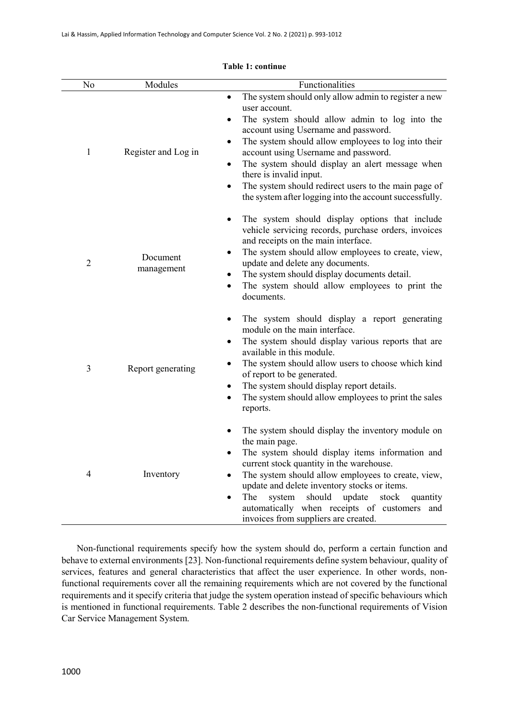| No             | Functionalities<br>Modules |                                                                                                                                                                                                                                                                                                                                                                                                                                                                                            |  |  |  |
|----------------|----------------------------|--------------------------------------------------------------------------------------------------------------------------------------------------------------------------------------------------------------------------------------------------------------------------------------------------------------------------------------------------------------------------------------------------------------------------------------------------------------------------------------------|--|--|--|
| 1              | Register and Log in        | The system should only allow admin to register a new<br>$\bullet$<br>user account.<br>The system should allow admin to log into the<br>٠<br>account using Username and password.<br>The system should allow employees to log into their<br>٠<br>account using Username and password.<br>The system should display an alert message when<br>٠<br>there is invalid input.<br>The system should redirect users to the main page of<br>the system after logging into the account successfully. |  |  |  |
| $\overline{2}$ | Document<br>management     | The system should display options that include<br>vehicle servicing records, purchase orders, invoices<br>and receipts on the main interface.<br>The system should allow employees to create, view,<br>٠<br>update and delete any documents.<br>The system should display documents detail.<br>٠<br>The system should allow employees to print the<br>documents.                                                                                                                           |  |  |  |
| 3              | Report generating          | The system should display a report generating<br>٠<br>module on the main interface.<br>The system should display various reports that are<br>٠<br>available in this module.<br>The system should allow users to choose which kind<br>of report to be generated.<br>The system should display report details.<br>٠<br>The system should allow employees to print the sales<br>reports.                                                                                                      |  |  |  |
| 4              | Inventory                  | The system should display the inventory module on<br>the main page.<br>The system should display items information and<br>current stock quantity in the warehouse.<br>The system should allow employees to create, view,<br>update and delete inventory stocks or items.<br>The<br>system<br>should<br>update<br>stock<br>quantity<br>$\bullet$<br>automatically when receipts of customers and<br>invoices from suppliers are created.                                                    |  |  |  |

#### **Table 1: continue**

Non-functional requirements specify how the system should do, perform a certain function and behave to external environments [23]. Non-functional requirements define system behaviour, quality of services, features and general characteristics that affect the user experience. In other words, nonfunctional requirements cover all the remaining requirements which are not covered by the functional requirements and it specify criteria that judge the system operation instead of specific behaviours which is mentioned in functional requirements. Table 2 describes the non-functional requirements of Vision Car Service Management System.

L,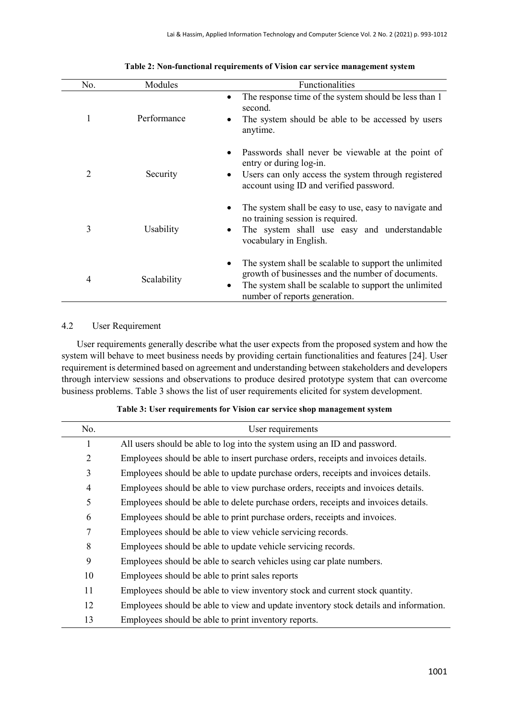| No. | Modules     | Functionalities                                                                                                                                                                                                        |  |  |  |
|-----|-------------|------------------------------------------------------------------------------------------------------------------------------------------------------------------------------------------------------------------------|--|--|--|
| 1   | Performance | The response time of the system should be less than 1<br>٠<br>second.<br>The system should be able to be accessed by users<br>٠<br>anytime.                                                                            |  |  |  |
| 2   | Security    | Passwords shall never be viewable at the point of<br>٠<br>entry or during log-in.<br>Users can only access the system through registered<br>٠<br>account using ID and verified password.                               |  |  |  |
| 3   | Usability   | The system shall be easy to use, easy to navigate and<br>٠<br>no training session is required.<br>The system shall use easy and understandable<br>٠<br>vocabulary in English.                                          |  |  |  |
| 4   | Scalability | The system shall be scalable to support the unlimited<br>$\bullet$<br>growth of businesses and the number of documents.<br>The system shall be scalable to support the unlimited<br>٠<br>number of reports generation. |  |  |  |

#### **Table 2: Non-functional requirements of Vision car service management system**

## 4.2 User Requirement

User requirements generally describe what the user expects from the proposed system and how the system will behave to meet business needs by providing certain functionalities and features [24]. User requirement is determined based on agreement and understanding between stakeholders and developers through interview sessions and observations to produce desired prototype system that can overcome business problems. Table 3 shows the list of user requirements elicited for system development.

| No.            | User requirements                                                                    |  |  |  |
|----------------|--------------------------------------------------------------------------------------|--|--|--|
| 1              | All users should be able to log into the system using an ID and password.            |  |  |  |
| $\overline{2}$ | Employees should be able to insert purchase orders, receipts and invoices details.   |  |  |  |
| 3              | Employees should be able to update purchase orders, receipts and invoices details.   |  |  |  |
| 4              | Employees should be able to view purchase orders, receipts and invoices details.     |  |  |  |
| 5              | Employees should be able to delete purchase orders, receipts and invoices details.   |  |  |  |
| 6              | Employees should be able to print purchase orders, receipts and invoices.            |  |  |  |
| 7              | Employees should be able to view vehicle servicing records.                          |  |  |  |
| 8              | Employees should be able to update vehicle servicing records.                        |  |  |  |
| 9              | Employees should be able to search vehicles using car plate numbers.                 |  |  |  |
| 10             | Employees should be able to print sales reports                                      |  |  |  |
| 11             | Employees should be able to view inventory stock and current stock quantity.         |  |  |  |
| 12             | Employees should be able to view and update inventory stock details and information. |  |  |  |
| 13             | Employees should be able to print inventory reports.                                 |  |  |  |

#### **Table 3: User requirements for Vision car service shop management system**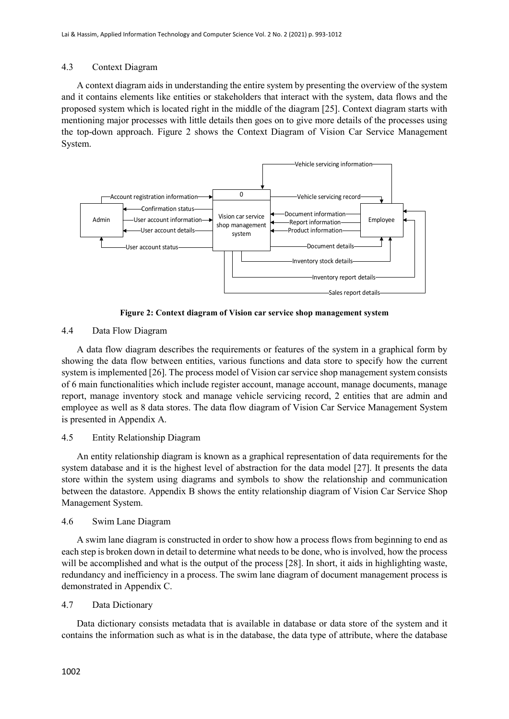#### 4.3 Context Diagram

A context diagram aids in understanding the entire system by presenting the overview of the system and it contains elements like entities or stakeholders that interact with the system, data flows and the proposed system which is located right in the middle of the diagram [25]. Context diagram starts with mentioning major processes with little details then goes on to give more details of the processes using the top-down approach. Figure 2 shows the Context Diagram of Vision Car Service Management System.



**Figure 2: Context diagram of Vision car service shop management system**

### 4.4 Data Flow Diagram

A data flow diagram describes the requirements or features of the system in a graphical form by showing the data flow between entities, various functions and data store to specify how the current system is implemented [26]. The process model of Vision car service shop management system consists of 6 main functionalities which include register account, manage account, manage documents, manage report, manage inventory stock and manage vehicle servicing record, 2 entities that are admin and employee as well as 8 data stores. The data flow diagram of Vision Car Service Management System is presented in Appendix A.

#### 4.5 Entity Relationship Diagram

An entity relationship diagram is known as a graphical representation of data requirements for the system database and it is the highest level of abstraction for the data model [27]. It presents the data store within the system using diagrams and symbols to show the relationship and communication between the datastore. Appendix B shows the entity relationship diagram of Vision Car Service Shop Management System.

#### 4.6 Swim Lane Diagram

A swim lane diagram is constructed in order to show how a process flows from beginning to end as each step is broken down in detail to determine what needs to be done, who is involved, how the process will be accomplished and what is the output of the process [28]. In short, it aids in highlighting waste, redundancy and inefficiency in a process. The swim lane diagram of document management process is demonstrated in Appendix C.

### 4.7 Data Dictionary

Data dictionary consists metadata that is available in database or data store of the system and it contains the information such as what is in the database, the data type of attribute, where the database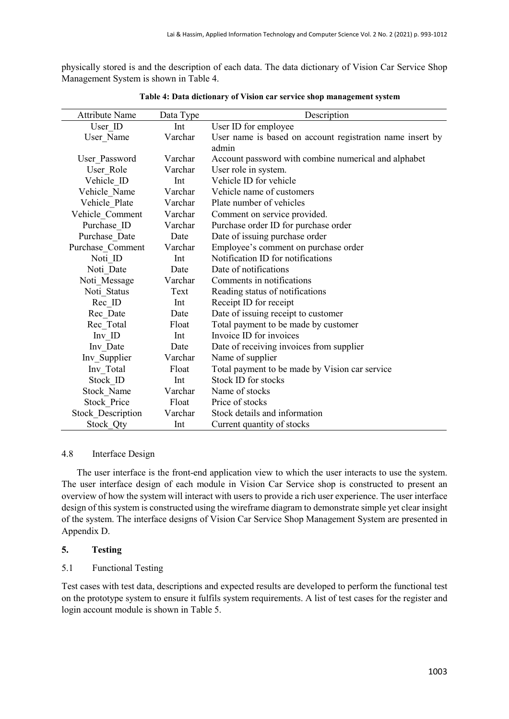physically stored is and the description of each data. The data dictionary of Vision Car Service Shop Management System is shown in Table 4.

| <b>Attribute Name</b>    | Data Type | Description                                               |  |  |
|--------------------------|-----------|-----------------------------------------------------------|--|--|
| User ID                  | Int       | User ID for employee                                      |  |  |
| User_Name                | Varchar   | User name is based on account registration name insert by |  |  |
|                          |           | admin                                                     |  |  |
| User Password            | Varchar   | Account password with combine numerical and alphabet      |  |  |
| User Role                | Varchar   | User role in system.                                      |  |  |
| Vehicle ID               | Int       | Vehicle ID for vehicle                                    |  |  |
| Vehicle Name             | Varchar   | Vehicle name of customers                                 |  |  |
| Vehicle Plate            | Varchar   | Plate number of vehicles                                  |  |  |
| Vehicle Comment          | Varchar   | Comment on service provided.                              |  |  |
| Purchase ID              | Varchar   | Purchase order ID for purchase order                      |  |  |
| Purchase Date            | Date      | Date of issuing purchase order                            |  |  |
| Purchase Comment         | Varchar   | Employee's comment on purchase order                      |  |  |
| Noti ID                  | Int       | Notification ID for notifications                         |  |  |
| Noti Date                | Date      | Date of notifications                                     |  |  |
| Noti Message             | Varchar   | Comments in notifications                                 |  |  |
| Noti Status              | Text      | Reading status of notifications                           |  |  |
| Rec ID                   | Int       | Receipt ID for receipt                                    |  |  |
| Rec Date                 | Date      | Date of issuing receipt to customer                       |  |  |
| Rec Total                | Float     | Total payment to be made by customer                      |  |  |
| Inv ID                   | Int       | Invoice ID for invoices                                   |  |  |
| Inv Date                 | Date      | Date of receiving invoices from supplier                  |  |  |
| Inv Supplier             | Varchar   | Name of supplier                                          |  |  |
| Inv Total                | Float     | Total payment to be made by Vision car service            |  |  |
| Stock ID                 | Int       | Stock ID for stocks                                       |  |  |
| Stock Name               | Varchar   | Name of stocks                                            |  |  |
| <b>Stock Price</b>       | Float     | Price of stocks                                           |  |  |
| <b>Stock Description</b> | Varchar   | Stock details and information                             |  |  |
| Stock Qty                | Int       | Current quantity of stocks                                |  |  |

**Table 4: Data dictionary of Vision car service shop management system**

#### 4.8 Interface Design

The user interface is the front-end application view to which the user interacts to use the system. The user interface design of each module in Vision Car Service shop is constructed to present an overview of how the system will interact with users to provide a rich user experience. The user interface design of this system is constructed using the wireframe diagram to demonstrate simple yet clear insight of the system. The interface designs of Vision Car Service Shop Management System are presented in Appendix D.

#### **5. Testing**

#### 5.1 Functional Testing

Test cases with test data, descriptions and expected results are developed to perform the functional test on the prototype system to ensure it fulfils system requirements. A list of test cases for the register and login account module is shown in Table 5.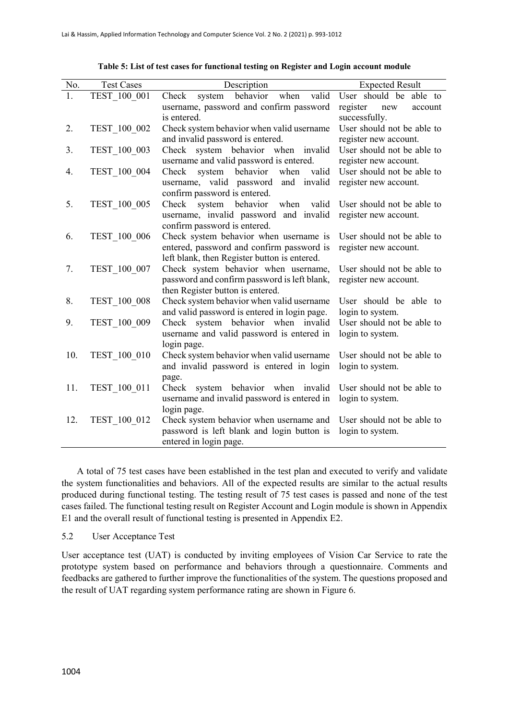| No. | <b>Test Cases</b> | Description                                                                          | <b>Expected Result</b>     |  |
|-----|-------------------|--------------------------------------------------------------------------------------|----------------------------|--|
| 1.  | TEST 100 001      | behavior<br>valid<br>when<br>Check<br>system                                         | User should be able to     |  |
|     |                   | username, password and confirm password                                              | register<br>new<br>account |  |
|     |                   | is entered.                                                                          | successfully.              |  |
| 2.  | TEST 100 002      | Check system behavior when valid username                                            | User should not be able to |  |
|     |                   | and invalid password is entered.                                                     | register new account.      |  |
| 3.  | TEST_100_003      | Check system behavior when invalid                                                   | User should not be able to |  |
|     |                   | username and valid password is entered.                                              | register new account.      |  |
| 4.  | TEST 100 004      | Check<br>system behavior<br>when<br>valid                                            | User should not be able to |  |
|     |                   | username, valid password<br>and invalid                                              | register new account.      |  |
|     |                   | confirm password is entered.                                                         |                            |  |
| 5.  | TEST 100 005      | system<br>Check<br>behavior<br>when<br>valid                                         | User should not be able to |  |
|     |                   | username, invalid password and invalid                                               | register new account.      |  |
|     |                   | confirm password is entered.                                                         |                            |  |
| 6.  | TEST 100 006      | Check system behavior when username is                                               | User should not be able to |  |
|     |                   | entered, password and confirm password is                                            | register new account.      |  |
| 7.  | TEST 100 007      | left blank, then Register button is entered.<br>Check system behavior when username, | User should not be able to |  |
|     |                   | password and confirm password is left blank,                                         | register new account.      |  |
|     |                   | then Register button is entered.                                                     |                            |  |
| 8.  | TEST 100 008      | Check system behavior when valid username                                            | User should be able to     |  |
|     |                   | and valid password is entered in login page.                                         | login to system.           |  |
| 9.  | TEST 100 009      | Check system behavior when invalid                                                   | User should not be able to |  |
|     |                   | username and valid password is entered in                                            | login to system.           |  |
|     |                   | login page.                                                                          |                            |  |
| 10. | TEST 100 010      | Check system behavior when valid username                                            | User should not be able to |  |
|     |                   | and invalid password is entered in login                                             | login to system.           |  |
|     |                   | page.                                                                                |                            |  |
| 11. | TEST_100_011      | Check system behavior when invalid                                                   | User should not be able to |  |
|     |                   | username and invalid password is entered in                                          | login to system.           |  |
|     |                   | login page.                                                                          |                            |  |
| 12. | TEST 100 012      | Check system behavior when username and                                              | User should not be able to |  |
|     |                   | password is left blank and login button is                                           | login to system.           |  |
|     |                   | entered in login page.                                                               |                            |  |

**Table 5: List of test cases for functional testing on Register and Login account module**

A total of 75 test cases have been established in the test plan and executed to verify and validate the system functionalities and behaviors. All of the expected results are similar to the actual results produced during functional testing. The testing result of 75 test cases is passed and none of the test cases failed. The functional testing result on Register Account and Login module is shown in Appendix E1 and the overall result of functional testing is presented in Appendix E2.

#### 5.2 User Acceptance Test

User acceptance test (UAT) is conducted by inviting employees of Vision Car Service to rate the prototype system based on performance and behaviors through a questionnaire. Comments and feedbacks are gathered to further improve the functionalities of the system. The questions proposed and the result of UAT regarding system performance rating are shown in Figure 6.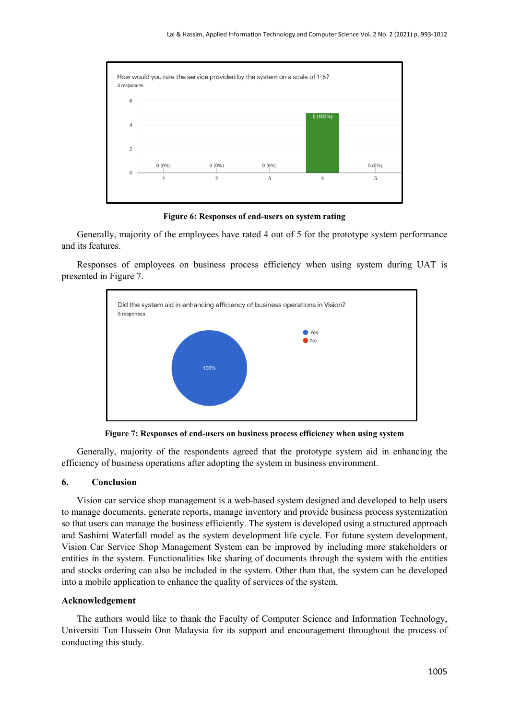

**Figure 6: Responses of end-users on system rating**

Generally, majority of the employees have rated 4 out of 5 for the prototype system performance and its features.

Responses of employees on business process efficiency when using system during UAT is presented in Figure 7.



**Figure 7: Responses of end-users on business process efficiency when using system**

Generally, majority of the respondents agreed that the prototype system aid in enhancing the efficiency of business operations after adopting the system in business environment.

#### **6. Conclusion**

Vision car service shop management is a web-based system designed and developed to help users to manage documents, generate reports, manage inventory and provide business process systemization so that users can manage the business efficiently. The system is developed using a structured approach and Sashimi Waterfall model as the system development life cycle. For future system development, Vision Car Service Shop Management System can be improved by including more stakeholders or entities in the system. Functionalities like sharing of documents through the system with the entities and stocks ordering can also be included in the system. Other than that, the system can be developed into a mobile application to enhance the quality of services of the system.

#### **Acknowledgement**

The authors would like to thank the Faculty of Computer Science and Information Technology, Universiti Tun Hussein Onn Malaysia for its support and encouragement throughout the process of conducting this study.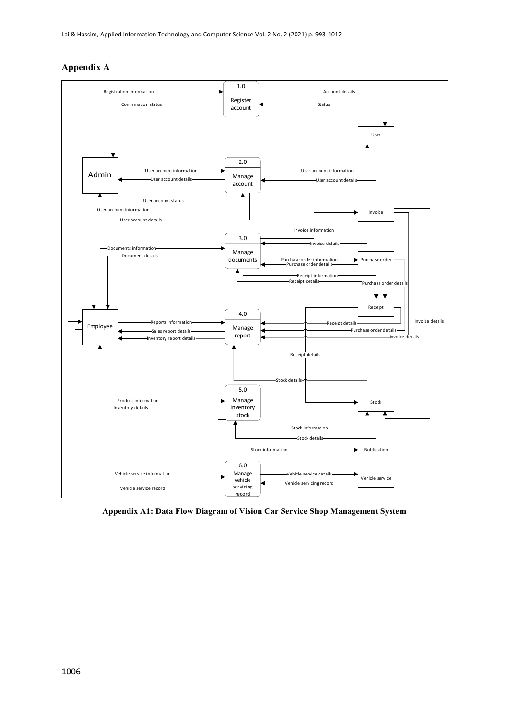



**Appendix A1: Data Flow Diagram of Vision Car Service Shop Management System**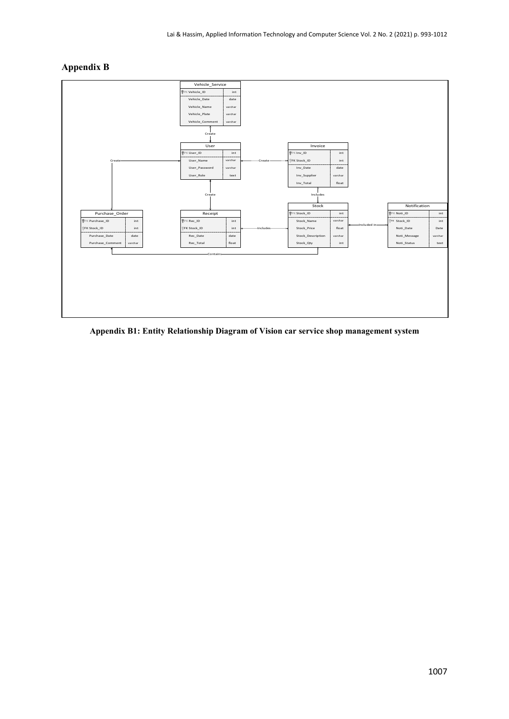## **Appendix B**



**Appendix B1: Entity Relationship Diagram of Vision car service shop management system**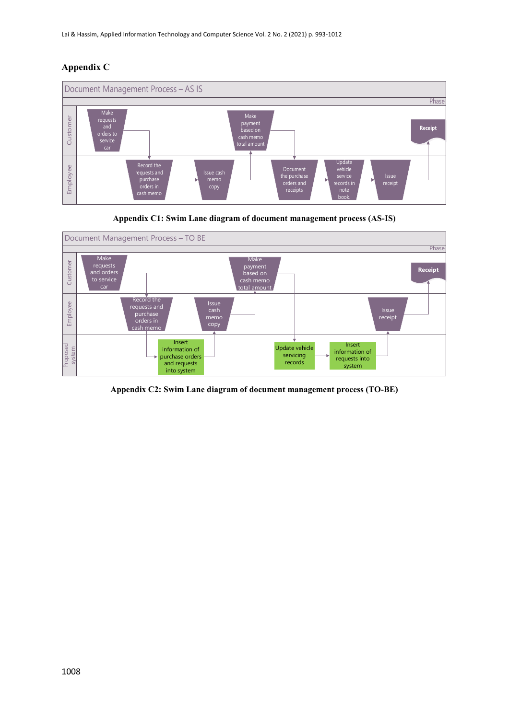## **Appendix C**



**Appendix C1: Swim Lane diagram of document management process (AS-IS)**



**Appendix C2: Swim Lane diagram of document management process (TO-BE)**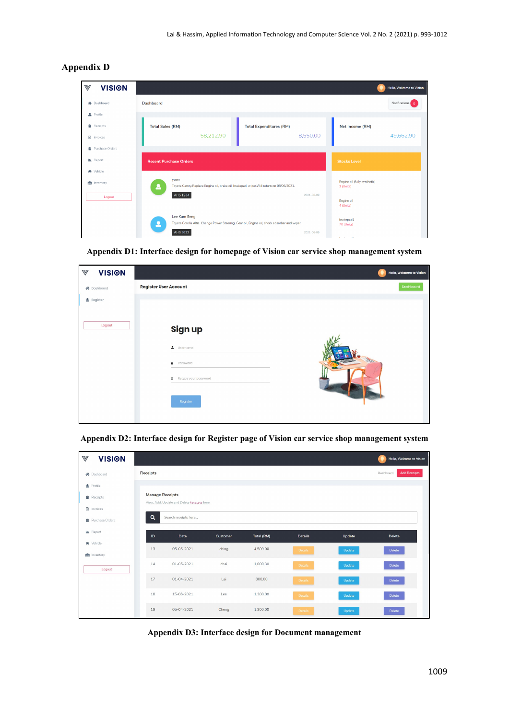| $\mathbb {V}$ | <b>VISION</b>                |                               |                                                                                                              |                                |            |                                           | Hello, Welcome to Vision |
|---------------|------------------------------|-------------------------------|--------------------------------------------------------------------------------------------------------------|--------------------------------|------------|-------------------------------------------|--------------------------|
|               | <b>谷</b> Dashboard           | <b>Dashboard</b>              |                                                                                                              |                                |            |                                           | Notifications 0          |
|               | 2 Profile                    |                               |                                                                                                              |                                |            |                                           |                          |
|               | Receipts<br>nvoices          | <b>Total Sales (RM)</b>       | 58,212.90                                                                                                    | <b>Total Expenditures (RM)</b> | 8,550.00   | Net Income (RM)                           | 49,662.90                |
|               | Purchase Orders              |                               |                                                                                                              |                                |            |                                           |                          |
|               | <b>Le</b> Report             | <b>Recent Purchase Orders</b> |                                                                                                              |                                |            | <b>Stocks Level</b>                       |                          |
|               | <b>A</b> Vehicle<br>nventory |                               | yuan<br>Toyota Camry.Replace Engine oil, brake oil, brakepad, wiper.Will return on 08/06/2021.               |                                |            | Engine oil (fully synthetic)<br>3 (Units) |                          |
|               | Logout                       |                               | AHS 1234                                                                                                     |                                | 2021-06-09 | Engine oil<br>4 (Units)                   |                          |
|               |                              | ρ                             | Lee Kam Seng<br>Toyota Corolla Altis. Change Power Steering, Gear oil, Engine oil, shock absorber and wiper. |                                |            | brakepad1<br>70 (Units)                   |                          |
|               |                              |                               | AHS 3632                                                                                                     |                                | 2021-06-06 |                                           |                          |

## **Appendix D**

**Appendix D1: Interface design for homepage of Vision car service shop management system**

| $\mathbb {V}$<br><b>VISION</b> |                                                                                                   | Hello, Welcome to Vision |
|--------------------------------|---------------------------------------------------------------------------------------------------|--------------------------|
| <b>谷</b> Dashboard             | <b>Register User Account</b>                                                                      | Dashboard                |
| $\triangle$ Register           |                                                                                                   |                          |
| Logout                         | Sign up<br>$\triangle$ Username<br>Password<br>a.<br>Retype your password<br>$\oplus$<br>Register |                          |

**Appendix D2: Interface design for Register page of Vision car service shop management system**

| $\mathbb {V}$<br><b>VISION</b> |                        |                                             |          |            |                |        | Hello, Welcome to Vision         |  |  |
|--------------------------------|------------------------|---------------------------------------------|----------|------------|----------------|--------|----------------------------------|--|--|
| <b>谷</b> Dashboard             | <b>Receipts</b>        |                                             |          |            |                |        | <b>Add Receipts</b><br>Dashboard |  |  |
| Profile                        | <b>Manage Receipts</b> |                                             |          |            |                |        |                                  |  |  |
| Receipts<br>a Invoices         |                        | View, Add, Update and Delete Receipts here. |          |            |                |        |                                  |  |  |
| Purchase Orders                | Q                      | Search receipts here                        |          |            |                |        |                                  |  |  |
| <b>In</b> Report               | ID                     | Date                                        | Customer | Total (RM) | <b>Details</b> | Update | <b>Delete</b>                    |  |  |
| Wehicle<br>nventory            | 13                     | 05-05-2021                                  | ching    | 4,509.00   | Details        | Update | Delete                           |  |  |
| Logout                         | 14                     | 01-05-2021                                  | chai     | 1,000.30   | <b>Details</b> | Update | <b>Delete</b>                    |  |  |
|                                | 17                     | 01-04-2021                                  | Lai      | 800.00     | <b>Details</b> | Update | Delete                           |  |  |
|                                | 18                     | 15-06-2021                                  | Lee      | 1,300.00   | <b>Details</b> | Update | <b>Delete</b>                    |  |  |
|                                | 19                     | 05-04-2021                                  | Cheng    | 1,300.00   | <b>Details</b> | Update | <b>Delete</b>                    |  |  |

**Appendix D3: Interface design for Document management**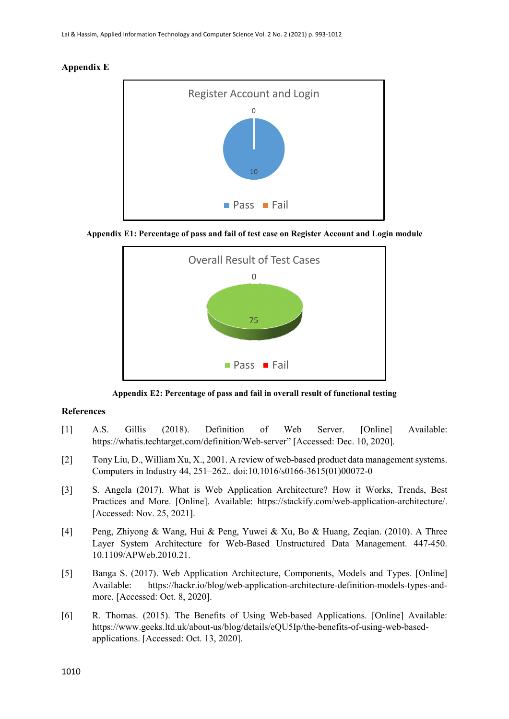#### **Appendix E**



**Appendix E1: Percentage of pass and fail of test case on Register Account and Login module**



**Appendix E2: Percentage of pass and fail in overall result of functional testing**

#### **References**

- [1] A.S. Gillis (2018). Definition of Web Server. [Online] Available: https://whatis.techtarget.com/definition/Web-server" [Accessed: Dec. 10, 2020].
- [2] Tony Liu, D., William Xu, X., 2001. A review of web-based product data management systems. Computers in Industry 44, 251–262.. doi:10.1016/s0166-3615(01)00072-0
- [3] S. Angela (2017). What is Web Application Architecture? How it Works, Trends, Best Practices and More. [Online]. Available: [https://stackify.com/web-application-architecture/.](https://stackify.com/web-application-architecture/) [Accessed: Nov. 25, 2021].
- [4] Peng, Zhiyong & Wang, Hui & Peng, Yuwei & Xu, Bo & Huang, Zeqian. (2010). A Three Layer System Architecture for Web-Based Unstructured Data Management. 447-450. 10.1109/APWeb.2010.21.
- [5] Banga S. (2017). Web Application Architecture, Components, Models and Types. [Online] Available: https://hackr.io/blog/web-application-architecture-definition-models-types-andmore. [Accessed: Oct. 8, 2020].
- [6] R. Thomas. (2015). The Benefits of Using Web-based Applications. [Online] Available: https://www.geeks.ltd.uk/about-us/blog/details/eQU5Ip/the-benefits-of-using-web-basedapplications. [Accessed: Oct. 13, 2020].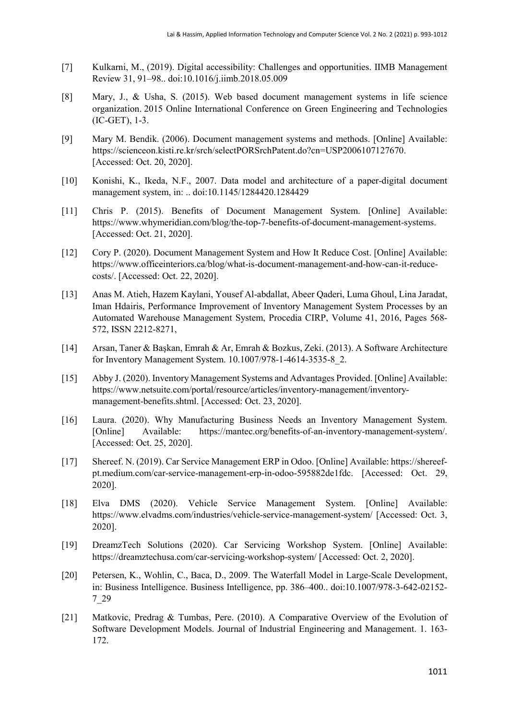- [7] Kulkarni, M., (2019). Digital accessibility: Challenges and opportunities. IIMB Management Review 31, 91–98.. doi:10.1016/j.iimb.2018.05.009
- [8] Mary, J., & Usha, S. (2015). Web based document management systems in life science organization. 2015 Online International Conference on Green Engineering and Technologies (IC-GET), 1-3.
- [9] Mary M. Bendik. (2006). Document management systems and methods. [Online] Available: [https://scienceon.kisti.re.kr/srch/selectPORSrchPatent.do?cn=USP2006107127670.](https://scienceon.kisti.re.kr/srch/selectPORSrchPatent.do?cn=USP2006107127670) [Accessed: Oct. 20, 2020].
- [10] Konishi, K., Ikeda, N.F., 2007. Data model and architecture of a paper-digital document management system, in: .. doi:10.1145/1284420.1284429
- [11] Chris P. (2015). Benefits of Document Management System. [Online] Available: https://www.whymeridian.com/blog/the-top-7-benefits-of-document-management-systems. [Accessed: Oct. 21, 2020].
- [12] Cory P. (2020). Document Management System and How It Reduce Cost. [Online] Available: https://www.officeinteriors.ca/blog/what-is-document-management-and-how-can-it-reducecosts/. [Accessed: Oct. 22, 2020].
- [13] Anas M. Atieh, Hazem Kaylani, Yousef Al-abdallat, Abeer Qaderi, Luma Ghoul, Lina Jaradat, Iman Hdairis, Performance Improvement of Inventory Management System Processes by an Automated Warehouse Management System, Procedia CIRP, Volume 41, 2016, Pages 568- 572, ISSN 2212-8271,
- [14] Arsan, Taner & Başkan, Emrah & Ar, Emrah & Bozkus, Zeki. (2013). A Software Architecture for Inventory Management System. 10.1007/978-1-4614-3535-8\_2.
- [15] Abby J. (2020). Inventory Management Systems and Advantages Provided. [Online] Available: https://www.netsuite.com/portal/resource/articles/inventory-management/inventorymanagement-benefits.shtml. [Accessed: Oct. 23, 2020].
- [16] Laura. (2020). Why Manufacturing Business Needs an Inventory Management System. [Online] Available: https://mantec.org/benefits-of-an-inventory-management-system/. [Accessed: Oct. 25, 2020].
- [17] Shereef. N. (2019). Car Service Management ERP in Odoo. [Online] Available[: https://shereef](https://shereef-pt.medium.com/car-service-management-erp-in-odoo-595882de1fdc)[pt.medium.com/car-service-management-erp-in-odoo-595882de1fdc.](https://shereef-pt.medium.com/car-service-management-erp-in-odoo-595882de1fdc) [Accessed: Oct. 29, 2020].
- [18] Elva DMS (2020). Vehicle Service Management System. [Online] Available: <https://www.elvadms.com/industries/vehicle-service-management-system/> [Accessed: Oct. 3, 2020].
- [19] DreamzTech Solutions (2020). Car Servicing Workshop System. [Online] Available: <https://dreamztechusa.com/car-servicing-workshop-system/> [Accessed: Oct. 2, 2020].
- [20] Petersen, K., Wohlin, C., Baca, D., 2009. The Waterfall Model in Large-Scale Development, in: Business Intelligence. Business Intelligence, pp. 386–400.. doi:10.1007/978-3-642-02152- 7\_29
- [21] Matkovic, Predrag & Tumbas, Pere. (2010). A Comparative Overview of the Evolution of Software Development Models. Journal of Industrial Engineering and Management. 1. 163- 172.